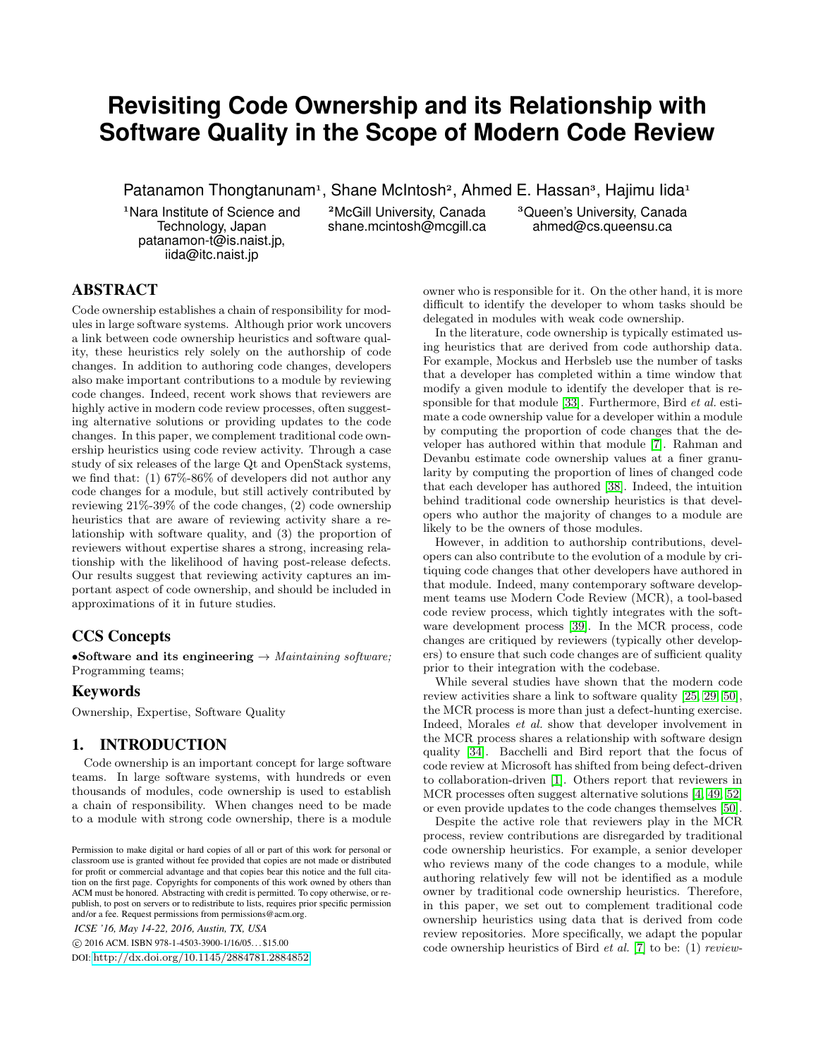# **Revisiting Code Ownership and its Relationship with Software Quality in the Scope of Modern Code Review**

Patanamon Thongtanunam<sup>1</sup>, Shane McIntosh<sup>2</sup>, Ahmed E. Hassan<sup>3</sup>, Hajimu lida<sup>1</sup>

<sup>1</sup>Nara Institute of Science and Technology, Japan patanamon-t@is.naist.jp, iida@itc.naist.jp

<sup>2</sup>McGill University, Canada shane.mcintosh@mcgill.ca <sup>3</sup>Queen's University, Canada ahmed@cs.queensu.ca

# ABSTRACT

Code ownership establishes a chain of responsibility for modules in large software systems. Although prior work uncovers a link between code ownership heuristics and software quality, these heuristics rely solely on the authorship of code changes. In addition to authoring code changes, developers also make important contributions to a module by reviewing code changes. Indeed, recent work shows that reviewers are highly active in modern code review processes, often suggesting alternative solutions or providing updates to the code changes. In this paper, we complement traditional code ownership heuristics using code review activity. Through a case study of six releases of the large Qt and OpenStack systems, we find that: (1) 67%-86% of developers did not author any code changes for a module, but still actively contributed by reviewing 21%-39% of the code changes, (2) code ownership heuristics that are aware of reviewing activity share a relationship with software quality, and (3) the proportion of reviewers without expertise shares a strong, increasing relationship with the likelihood of having post-release defects. Our results suggest that reviewing activity captures an important aspect of code ownership, and should be included in approximations of it in future studies.

# CCS Concepts

•Software and its engineering → *Maintaining software;* Programming teams;

## Keywords

Ownership, Expertise, Software Quality

## 1. INTRODUCTION

Code ownership is an important concept for large software teams. In large software systems, with hundreds or even thousands of modules, code ownership is used to establish a chain of responsibility. When changes need to be made to a module with strong code ownership, there is a module

*ICSE '16, May 14-22, 2016, Austin, TX, USA*

c 2016 ACM. ISBN 978-1-4503-3900-1/16/05. . . \$15.00

DOI: <http://dx.doi.org/10.1145/2884781.2884852>

owner who is responsible for it. On the other hand, it is more difficult to identify the developer to whom tasks should be delegated in modules with weak code ownership.

In the literature, code ownership is typically estimated using heuristics that are derived from code authorship data. For example, Mockus and Herbsleb use the number of tasks that a developer has completed within a time window that modify a given module to identify the developer that is responsible for that module [\[33\]](#page-11-0). Furthermore, Bird *et al.* estimate a code ownership value for a developer within a module by computing the proportion of code changes that the developer has authored within that module [\[7\]](#page-10-0). Rahman and Devanbu estimate code ownership values at a finer granularity by computing the proportion of lines of changed code that each developer has authored [\[38\]](#page-11-1). Indeed, the intuition behind traditional code ownership heuristics is that developers who author the majority of changes to a module are likely to be the owners of those modules.

However, in addition to authorship contributions, developers can also contribute to the evolution of a module by critiquing code changes that other developers have authored in that module. Indeed, many contemporary software development teams use Modern Code Review (MCR), a tool-based code review process, which tightly integrates with the software development process [\[39\]](#page-11-2). In the MCR process, code changes are critiqued by reviewers (typically other developers) to ensure that such code changes are of sufficient quality prior to their integration with the codebase.

While several studies have shown that the modern code review activities share a link to software quality [\[25,](#page-10-1) [29,](#page-11-3) [50\]](#page-11-4), the MCR process is more than just a defect-hunting exercise. Indeed, Morales *et al.* show that developer involvement in the MCR process shares a relationship with software design quality [\[34\]](#page-11-5). Bacchelli and Bird report that the focus of code review at Microsoft has shifted from being defect-driven to collaboration-driven [\[1\]](#page-10-2). Others report that reviewers in MCR processes often suggest alternative solutions [\[4,](#page-10-3) [49,](#page-11-6) [52\]](#page-11-7) or even provide updates to the code changes themselves [\[50\]](#page-11-4).

Despite the active role that reviewers play in the MCR process, review contributions are disregarded by traditional code ownership heuristics. For example, a senior developer who reviews many of the code changes to a module, while authoring relatively few will not be identified as a module owner by traditional code ownership heuristics. Therefore, in this paper, we set out to complement traditional code ownership heuristics using data that is derived from code review repositories. More specifically, we adapt the popular code ownership heuristics of Bird *et al.* [\[7\]](#page-10-0) to be: (1) *review-*

Permission to make digital or hard copies of all or part of this work for personal or classroom use is granted without fee provided that copies are not made or distributed for profit or commercial advantage and that copies bear this notice and the full citation on the first page. Copyrights for components of this work owned by others than ACM must be honored. Abstracting with credit is permitted. To copy otherwise, or republish, to post on servers or to redistribute to lists, requires prior specific permission and/or a fee. Request permissions from permissions@acm.org.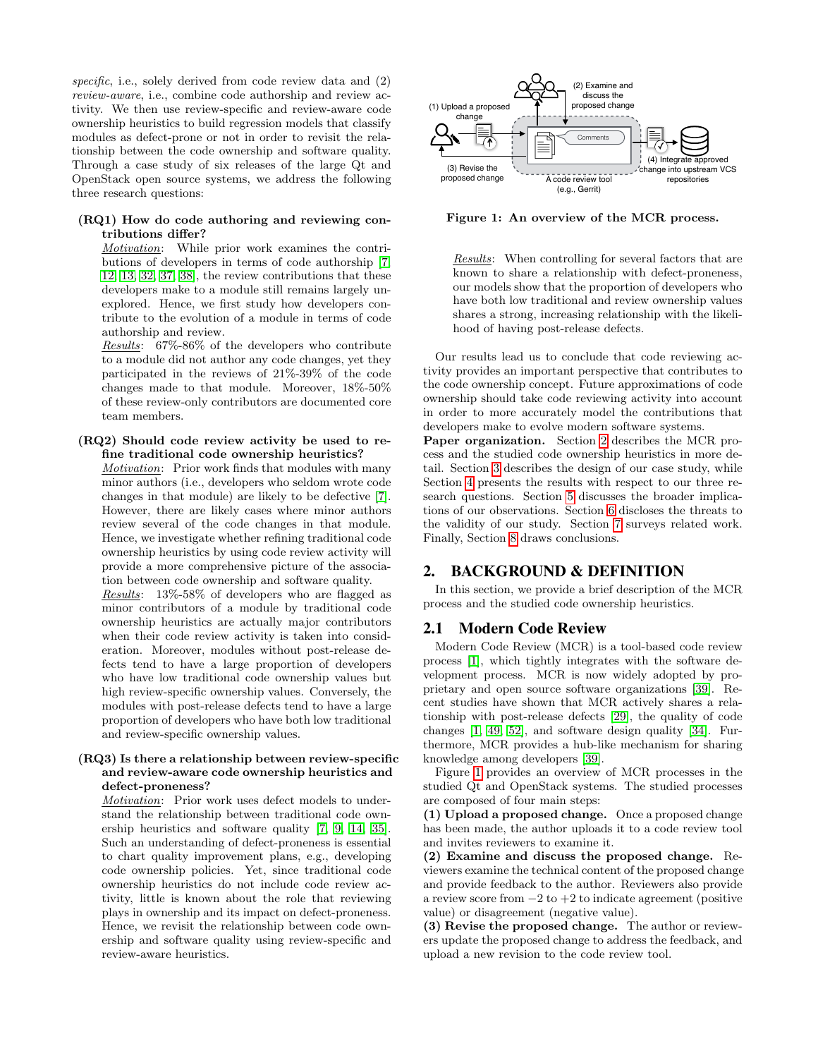*specific*, i.e., solely derived from code review data and (2) *review-aware*, i.e., combine code authorship and review activity. We then use review-specific and review-aware code ownership heuristics to build regression models that classify modules as defect-prone or not in order to revisit the relationship between the code ownership and software quality. Through a case study of six releases of the large Qt and OpenStack open source systems, we address the following three research questions:

#### (RQ1) How do code authoring and reviewing contributions differ?

*Motivation*: While prior work examines the contributions of developers in terms of code authorship [\[7,](#page-10-0) [12,](#page-10-4) [13,](#page-10-5) [32,](#page-11-8) [37,](#page-11-9) [38\]](#page-11-1), the review contributions that these developers make to a module still remains largely unexplored. Hence, we first study how developers contribute to the evolution of a module in terms of code authorship and review.

*Results*: 67%-86% of the developers who contribute to a module did not author any code changes, yet they participated in the reviews of 21%-39% of the code changes made to that module. Moreover, 18%-50% of these review-only contributors are documented core team members.

#### (RQ2) Should code review activity be used to refine traditional code ownership heuristics?

*Motivation*: Prior work finds that modules with many minor authors (i.e., developers who seldom wrote code changes in that module) are likely to be defective [\[7\]](#page-10-0). However, there are likely cases where minor authors review several of the code changes in that module. Hence, we investigate whether refining traditional code ownership heuristics by using code review activity will provide a more comprehensive picture of the association between code ownership and software quality.

*Results*: 13%-58% of developers who are flagged as minor contributors of a module by traditional code ownership heuristics are actually major contributors when their code review activity is taken into consideration. Moreover, modules without post-release defects tend to have a large proportion of developers who have low traditional code ownership values but high review-specific ownership values. Conversely, the modules with post-release defects tend to have a large proportion of developers who have both low traditional and review-specific ownership values.

#### (RQ3) Is there a relationship between review-specific and review-aware code ownership heuristics and defect-proneness?

*Motivation*: Prior work uses defect models to understand the relationship between traditional code ownership heuristics and software quality [\[7,](#page-10-0) [9,](#page-10-6) [14,](#page-10-7) [35\]](#page-11-10). Such an understanding of defect-proneness is essential to chart quality improvement plans, e.g., developing code ownership policies. Yet, since traditional code ownership heuristics do not include code review activity, little is known about the role that reviewing plays in ownership and its impact on defect-proneness. Hence, we revisit the relationship between code ownership and software quality using review-specific and review-aware heuristics.



<span id="page-1-1"></span>Figure 1: An overview of the MCR process.

*Results*: When controlling for several factors that are known to share a relationship with defect-proneness, our models show that the proportion of developers who have both low traditional and review ownership values shares a strong, increasing relationship with the likelihood of having post-release defects.

Our results lead us to conclude that code reviewing activity provides an important perspective that contributes to the code ownership concept. Future approximations of code ownership should take code reviewing activity into account in order to more accurately model the contributions that developers make to evolve modern software systems.

Paper organization. Section [2](#page-1-0) describes the MCR process and the studied code ownership heuristics in more detail. Section [3](#page-2-0) describes the design of our case study, while Section [4](#page-4-0) presents the results with respect to our three research questions. Section [5](#page-7-0) discusses the broader implications of our observations. Section [6](#page-8-0) discloses the threats to the validity of our study. Section [7](#page-8-1) surveys related work. Finally, Section [8](#page-9-0) draws conclusions.

# <span id="page-1-0"></span>2. BACKGROUND & DEFINITION

In this section, we provide a brief description of the MCR process and the studied code ownership heuristics.

## 2.1 Modern Code Review

Modern Code Review (MCR) is a tool-based code review process [\[1\]](#page-10-2), which tightly integrates with the software development process. MCR is now widely adopted by proprietary and open source software organizations [\[39\]](#page-11-2). Recent studies have shown that MCR actively shares a relationship with post-release defects [\[29\]](#page-11-3), the quality of code changes [\[1,](#page-10-2) [49,](#page-11-6) [52\]](#page-11-7), and software design quality [\[34\]](#page-11-5). Furthermore, MCR provides a hub-like mechanism for sharing knowledge among developers [\[39\]](#page-11-2).

Figure [1](#page-1-1) provides an overview of MCR processes in the studied Qt and OpenStack systems. The studied processes are composed of four main steps:

(1) Upload a proposed change. Once a proposed change has been made, the author uploads it to a code review tool and invites reviewers to examine it.

(2) Examine and discuss the proposed change. Reviewers examine the technical content of the proposed change and provide feedback to the author. Reviewers also provide a review score from  $-2$  to  $+2$  to indicate agreement (positive value) or disagreement (negative value).

(3) Revise the proposed change. The author or reviewers update the proposed change to address the feedback, and upload a new revision to the code review tool.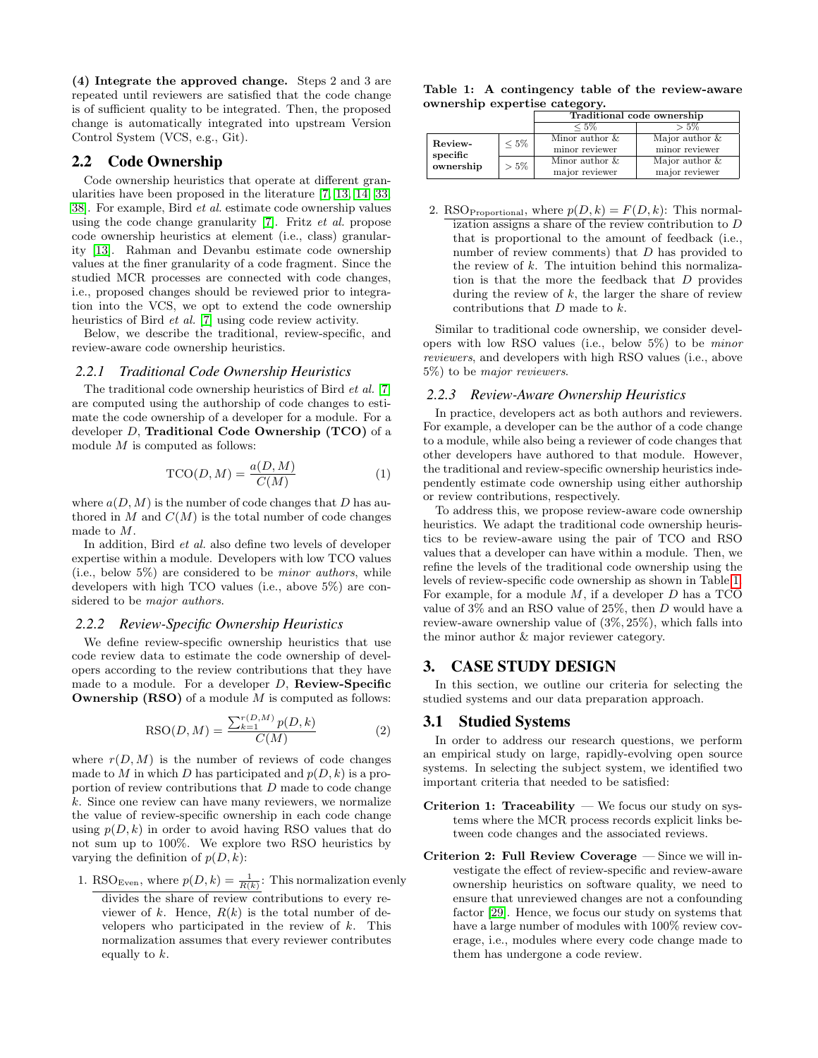(4) Integrate the approved change. Steps 2 and 3 are repeated until reviewers are satisfied that the code change is of sufficient quality to be integrated. Then, the proposed change is automatically integrated into upstream Version Control System (VCS, e.g., Git).

## <span id="page-2-2"></span>2.2 Code Ownership

Code ownership heuristics that operate at different granularities have been proposed in the literature [\[7,](#page-10-0) [13,](#page-10-5) [14,](#page-10-7) [33,](#page-11-0) [38\]](#page-11-1). For example, Bird *et al.* estimate code ownership values using the code change granularity [\[7\]](#page-10-0). Fritz *et al.* propose code ownership heuristics at element (i.e., class) granularity [\[13\]](#page-10-5). Rahman and Devanbu estimate code ownership values at the finer granularity of a code fragment. Since the studied MCR processes are connected with code changes, i.e., proposed changes should be reviewed prior to integration into the VCS, we opt to extend the code ownership heuristics of Bird *et al.* [\[7\]](#page-10-0) using code review activity.

Below, we describe the traditional, review-specific, and review-aware code ownership heuristics.

## *2.2.1 Traditional Code Ownership Heuristics*

The traditional code ownership heuristics of Bird *et al.* [\[7\]](#page-10-0) are computed using the authorship of code changes to estimate the code ownership of a developer for a module. For a developer  $D$ , Traditional Code Ownership (TCO) of a module  $M$  is computed as follows:

$$
\text{TCO}(D, M) = \frac{a(D, M)}{C(M)}\tag{1}
$$

where  $a(D, M)$  is the number of code changes that D has authored in M and  $C(M)$  is the total number of code changes made to M.

In addition, Bird *et al.* also define two levels of developer expertise within a module. Developers with low TCO values (i.e., below 5%) are considered to be *minor authors*, while developers with high TCO values (i.e., above 5%) are considered to be *major authors*.

## *2.2.2 Review-Specific Ownership Heuristics*

We define review-specific ownership heuristics that use code review data to estimate the code ownership of developers according to the review contributions that they have made to a module. For a developer  $D$ , **Review-Specific Ownership (RSO)** of a module  $M$  is computed as follows:

$$
RSO(D, M) = \frac{\sum_{k=1}^{r(D, M)} p(D, k)}{C(M)}
$$
(2)

where  $r(D, M)$  is the number of reviews of code changes made to M in which D has participated and  $p(D, k)$  is a proportion of review contributions that  $D$  made to code change k. Since one review can have many reviewers, we normalize the value of review-specific ownership in each code change using  $p(D, k)$  in order to avoid having RSO values that do not sum up to 100%. We explore two RSO heuristics by varying the definition of  $p(D, k)$ :

- 1. RSO<sub>Even</sub>, where  $p(D, k) = \frac{1}{R(k)}$ : This normalization evenly
	- divides the share of review contributions to every reviewer of k. Hence,  $R(k)$  is the total number of developers who participated in the review of  $k$ . This normalization assumes that every reviewer contributes equally to k.

<span id="page-2-1"></span>Table 1: A contingency table of the review-aware ownership expertise category.

|                                  |         | Traditional code ownership          |                                     |  |  |  |  |  |
|----------------------------------|---------|-------------------------------------|-------------------------------------|--|--|--|--|--|
|                                  |         | $< 5\%$                             | $>5\%$                              |  |  |  |  |  |
| Review-<br>specific<br>ownership | $< 5\%$ | Minor author $\&$<br>minor reviewer | Major author $\&$<br>minor reviewer |  |  |  |  |  |
|                                  | $> 5\%$ | Minor author $\&$<br>major reviewer | Major author $\&$<br>major reviewer |  |  |  |  |  |
|                                  |         |                                     |                                     |  |  |  |  |  |

2. RSO<sub>Proportional</sub>, where  $p(D, k) = F(D, k)$ : This normalization assigns a share of the review contribution to D that is proportional to the amount of feedback (i.e., number of review comments) that  $D$  has provided to the review of  $k$ . The intuition behind this normalization is that the more the feedback that  $D$  provides during the review of  $k$ , the larger the share of review contributions that  $D$  made to  $k$ .

Similar to traditional code ownership, we consider developers with low RSO values (i.e., below 5%) to be *minor reviewers*, and developers with high RSO values (i.e., above 5%) to be *major reviewers*.

#### *2.2.3 Review-Aware Ownership Heuristics*

In practice, developers act as both authors and reviewers. For example, a developer can be the author of a code change to a module, while also being a reviewer of code changes that other developers have authored to that module. However, the traditional and review-specific ownership heuristics independently estimate code ownership using either authorship or review contributions, respectively.

To address this, we propose review-aware code ownership heuristics. We adapt the traditional code ownership heuristics to be review-aware using the pair of TCO and RSO values that a developer can have within a module. Then, we refine the levels of the traditional code ownership using the levels of review-specific code ownership as shown in Table [1.](#page-2-1) For example, for a module  $M$ , if a developer  $D$  has a TCO value of 3% and an RSO value of 25%, then D would have a review-aware ownership value of (3%, 25%), which falls into the minor author & major reviewer category.

### <span id="page-2-0"></span>3. CASE STUDY DESIGN

In this section, we outline our criteria for selecting the studied systems and our data preparation approach.

#### <span id="page-2-3"></span>3.1 Studied Systems

In order to address our research questions, we perform an empirical study on large, rapidly-evolving open source systems. In selecting the subject system, we identified two important criteria that needed to be satisfied:

- Criterion 1: Traceability  $-$  We focus our study on systems where the MCR process records explicit links between code changes and the associated reviews.
- Criterion 2: Full Review Coverage Since we will investigate the effect of review-specific and review-aware ownership heuristics on software quality, we need to ensure that unreviewed changes are not a confounding factor [\[29\]](#page-11-3). Hence, we focus our study on systems that have a large number of modules with  $100\%$  review coverage, i.e., modules where every code change made to them has undergone a code review.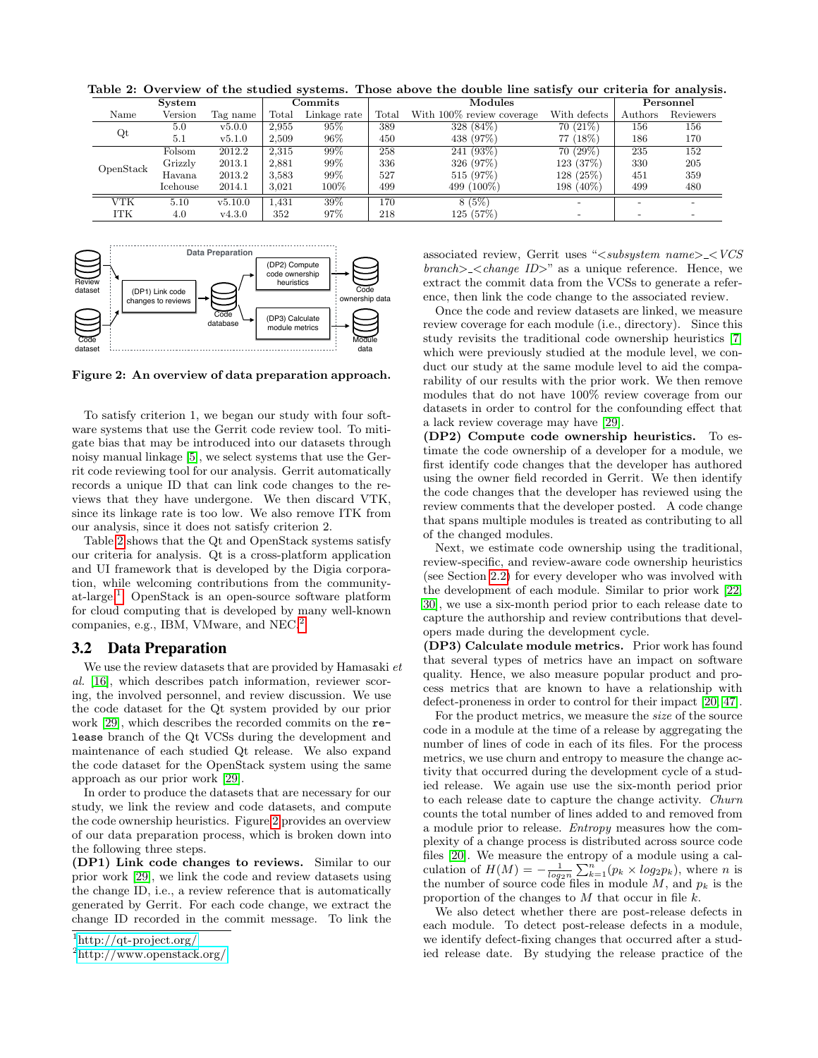| <b>System</b> |          |          |                | Commits      |       | Modules                   | Personnel    |         |           |
|---------------|----------|----------|----------------|--------------|-------|---------------------------|--------------|---------|-----------|
| Name          | Version  | Tag name | $_{\rm Total}$ | Linkage rate | Total | With 100% review coverage | With defects | Authors | Reviewers |
| Qt            | 5.0      | v5.0.0   | 2.955          | 95%          | 389   | 328 (84%)                 | 70(21%)      | 156     | 156       |
|               | 5.1      | v5.1.0   | 2.509          | 96%          | 450   | 438 (97%)                 | 77 (18%)     | 186     | 170       |
| OpenStack     | Folsom   | 2012.2   | 2.315          | 99%          | 258   | $241(93\%)$               | 70(29%)      | 235     | 152       |
|               | Grizzly  | 2013.1   | 2,881          | 99%          | 336   | 326 (97%)                 | 123 (37%)    | 330     | 205       |
|               | Havana   | 2013.2   | 3.583          | $99\%$       | 527   | 515 (97%)                 | 128 (25%)    | 451     | 359       |
|               | Icehouse | 2014.1   | 3.021          | 100%         | 499   | 499 (100\%)               | 198 (40%)    | 499     | 480       |
| VTK           | 5.10     | v5.10.0  | 1.431          | 39%          | 170   | 8(5%)                     | $\sim$       |         |           |
| ITK           | 4.0      | v4.3.0   | 352            | 97%          | 218   | 125(57%)                  |              |         |           |

<span id="page-3-0"></span>Table 2: Overview of the studied systems. Those above the double line satisfy our criteria for analysis.



<span id="page-3-3"></span>Figure 2: An overview of data preparation approach.

To satisfy criterion 1, we began our study with four software systems that use the Gerrit code review tool. To mitigate bias that may be introduced into our datasets through noisy manual linkage [\[5\]](#page-10-8), we select systems that use the Gerrit code reviewing tool for our analysis. Gerrit automatically records a unique ID that can link code changes to the reviews that they have undergone. We then discard VTK, since its linkage rate is too low. We also remove ITK from our analysis, since it does not satisfy criterion 2.

Table [2](#page-3-0) shows that the Qt and OpenStack systems satisfy our criteria for analysis. Qt is a cross-platform application and UI framework that is developed by the Digia corporation, while welcoming contributions from the communityat-large.[1](#page-3-1) OpenStack is an open-source software platform for cloud computing that is developed by many well-known companies, e.g., IBM, VMware, and NEC.[2](#page-3-2)

#### 3.2 Data Preparation

We use the review datasets that are provided by Hamasaki *et al.* [\[16\]](#page-10-9), which describes patch information, reviewer scoring, the involved personnel, and review discussion. We use the code dataset for the Qt system provided by our prior work [\[29\]](#page-11-3), which describes the recorded commits on the release branch of the Qt VCSs during the development and maintenance of each studied Qt release. We also expand the code dataset for the OpenStack system using the same approach as our prior work [\[29\]](#page-11-3).

In order to produce the datasets that are necessary for our study, we link the review and code datasets, and compute the code ownership heuristics. Figure [2](#page-3-3) provides an overview of our data preparation process, which is broken down into the following three steps.

(DP1) Link code changes to reviews. Similar to our prior work [\[29\]](#page-11-3), we link the code and review datasets using the change ID, i.e., a review reference that is automatically generated by Gerrit. For each code change, we extract the change ID recorded in the commit message. To link the

associated review, Gerrit uses "<*subsystem name*> <*VCS branch*> <*change ID*>" as a unique reference. Hence, we extract the commit data from the VCSs to generate a reference, then link the code change to the associated review.

Once the code and review datasets are linked, we measure review coverage for each module (i.e., directory). Since this study revisits the traditional code ownership heuristics [\[7\]](#page-10-0) which were previously studied at the module level, we conduct our study at the same module level to aid the comparability of our results with the prior work. We then remove modules that do not have 100% review coverage from our datasets in order to control for the confounding effect that a lack review coverage may have [\[29\]](#page-11-3).

(DP2) Compute code ownership heuristics. To estimate the code ownership of a developer for a module, we first identify code changes that the developer has authored using the owner field recorded in Gerrit. We then identify the code changes that the developer has reviewed using the review comments that the developer posted. A code change that spans multiple modules is treated as contributing to all of the changed modules.

Next, we estimate code ownership using the traditional, review-specific, and review-aware code ownership heuristics (see Section [2.2\)](#page-2-2) for every developer who was involved with the development of each module. Similar to prior work [\[22,](#page-10-10) [30\]](#page-11-11), we use a six-month period prior to each release date to capture the authorship and review contributions that developers made during the development cycle.

(DP3) Calculate module metrics. Prior work has found that several types of metrics have an impact on software quality. Hence, we also measure popular product and process metrics that are known to have a relationship with defect-proneness in order to control for their impact [\[20,](#page-10-11) [47\]](#page-11-12).

For the product metrics, we measure the *size* of the source code in a module at the time of a release by aggregating the number of lines of code in each of its files. For the process metrics, we use churn and entropy to measure the change activity that occurred during the development cycle of a studied release. We again use use the six-month period prior to each release date to capture the change activity. *Churn* counts the total number of lines added to and removed from a module prior to release. *Entropy* measures how the complexity of a change process is distributed across source code files [\[20\]](#page-10-11). We measure the entropy of a module using a calculation of  $H(M) = -\frac{1}{\log_2 n} \sum_{k=1}^n (p_k \times \log_2 p_k)$ , where *n* is the number of source code files in module  $M$ , and  $p_k$  is the proportion of the changes to  $M$  that occur in file  $k$ .

We also detect whether there are post-release defects in each module. To detect post-release defects in a module, we identify defect-fixing changes that occurred after a studied release date. By studying the release practice of the

<span id="page-3-1"></span><sup>1</sup><http://qt-project.org/>

<span id="page-3-2"></span><sup>2</sup><http://www.openstack.org/>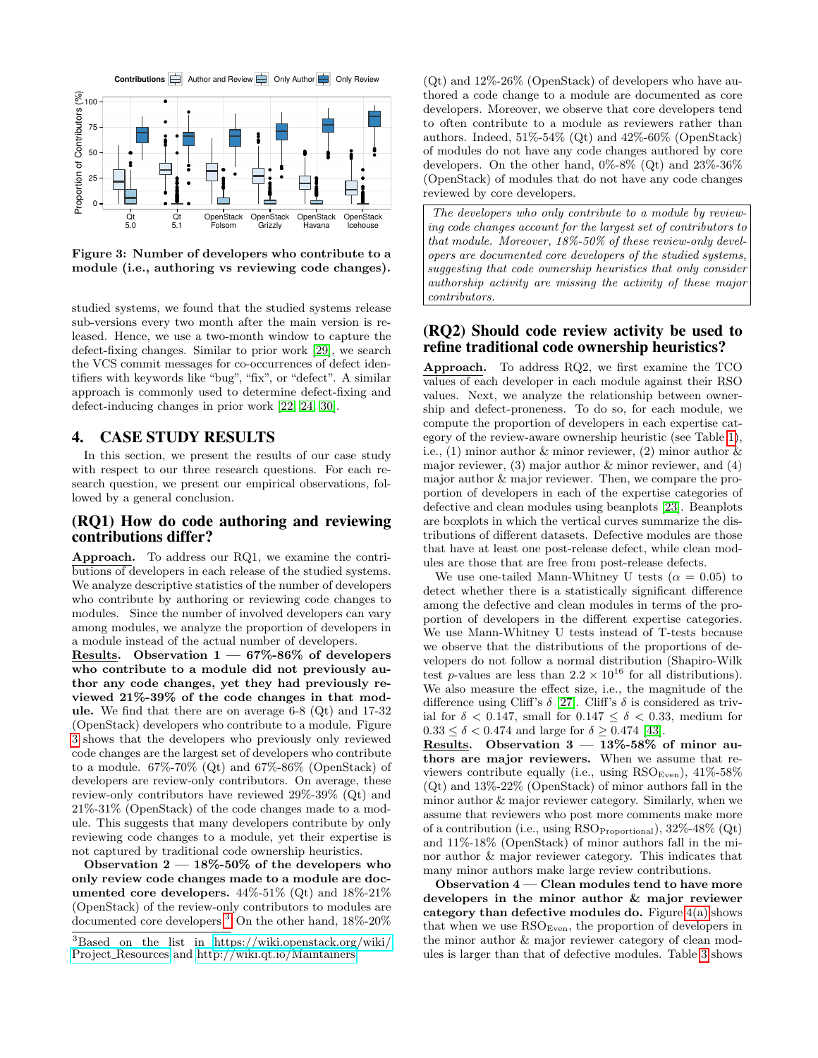

<span id="page-4-1"></span>Figure 3: Number of developers who contribute to a module (i.e., authoring vs reviewing code changes).

studied systems, we found that the studied systems release sub-versions every two month after the main version is released. Hence, we use a two-month window to capture the defect-fixing changes. Similar to prior work [\[29\]](#page-11-3), we search the VCS commit messages for co-occurrences of defect identifiers with keywords like "bug", "fix", or "defect". A similar approach is commonly used to determine defect-fixing and defect-inducing changes in prior work [\[22,](#page-10-10) [24,](#page-10-12) [30\]](#page-11-11).

## <span id="page-4-0"></span>4. CASE STUDY RESULTS

In this section, we present the results of our case study with respect to our three research questions. For each research question, we present our empirical observations, followed by a general conclusion.

## (RQ1) How do code authoring and reviewing contributions differ?

Approach. To address our RQ1, we examine the contributions of developers in each release of the studied systems. We analyze descriptive statistics of the number of developers who contribute by authoring or reviewing code changes to modules. Since the number of involved developers can vary among modules, we analyze the proportion of developers in a module instead of the actual number of developers.

<span id="page-4-3"></span>Results. Observation  $1 - 67\% - 86\%$  of developers who contribute to a module did not previously author any code changes, yet they had previously reviewed 21%-39% of the code changes in that module. We find that there are on average 6-8 (Qt) and 17-32 (OpenStack) developers who contribute to a module. Figure [3](#page-4-1) shows that the developers who previously only reviewed code changes are the largest set of developers who contribute to a module.  $67\%$ -70% (Qt) and  $67\%$ -86% (OpenStack) of developers are review-only contributors. On average, these review-only contributors have reviewed 29%-39% (Qt) and 21%-31% (OpenStack) of the code changes made to a module. This suggests that many developers contribute by only reviewing code changes to a module, yet their expertise is not captured by traditional code ownership heuristics.

<span id="page-4-4"></span>Observation  $2 - 18\% - 50\%$  of the developers who only review code changes made to a module are documented core developers.  $44\% - 51\%$  (Qt) and  $18\% - 21\%$ (OpenStack) of the review-only contributors to modules are documented core developers.[3](#page-4-2) On the other hand, 18%-20%  $(Qt)$  and  $12\%$ -26% (OpenStack) of developers who have authored a code change to a module are documented as core developers. Moreover, we observe that core developers tend to often contribute to a module as reviewers rather than authors. Indeed,  $51\% - 54\%$  (Qt) and  $42\% - 60\%$  (OpenStack) of modules do not have any code changes authored by core developers. On the other hand,  $0\%$ -8% (Qt) and  $23\%$ -36% (OpenStack) of modules that do not have any code changes reviewed by core developers.

*The developers who only contribute to a module by reviewing code changes account for the largest set of contributors to that module. Moreover, 18%-50% of these review-only developers are documented core developers of the studied systems, suggesting that code ownership heuristics that only consider authorship activity are missing the activity of these major contributors.*

## (RQ2) Should code review activity be used to refine traditional code ownership heuristics?

Approach. To address RQ2, we first examine the TCO values of each developer in each module against their RSO values. Next, we analyze the relationship between ownership and defect-proneness. To do so, for each module, we compute the proportion of developers in each expertise category of the review-aware ownership heuristic (see Table [1\)](#page-2-1), i.e., (1) minor author & minor reviewer, (2) minor author & major reviewer,  $(3)$  major author  $\&$  minor reviewer, and  $(4)$ major author & major reviewer. Then, we compare the proportion of developers in each of the expertise categories of defective and clean modules using beanplots [\[23\]](#page-10-13). Beanplots are boxplots in which the vertical curves summarize the distributions of different datasets. Defective modules are those that have at least one post-release defect, while clean modules are those that are free from post-release defects.

We use one-tailed Mann-Whitney U tests ( $\alpha = 0.05$ ) to detect whether there is a statistically significant difference among the defective and clean modules in terms of the proportion of developers in the different expertise categories. We use Mann-Whitney U tests instead of T-tests because we observe that the distributions of the proportions of developers do not follow a normal distribution (Shapiro-Wilk test p-values are less than  $2.2 \times 10^{16}$  for all distributions). We also measure the effect size, i.e., the magnitude of the difference using Cliff's  $\delta$  [\[27\]](#page-10-14). Cliff's  $\delta$  is considered as trivial for  $\delta$  < 0.147, small for 0.147  $\leq \delta$  < 0.33, medium for  $0.33 \le \delta \le 0.474$  and large for  $\delta \ge 0.474$  [\[43\]](#page-11-13).

<span id="page-4-5"></span>Results. Observation 3 — 13%-58% of minor authors are major reviewers. When we assume that reviewers contribute equally (i.e., using  $\text{RSO}_{\text{Even}}$ ),  $41\%$ -58% (Qt) and 13%-22% (OpenStack) of minor authors fall in the minor author & major reviewer category. Similarly, when we assume that reviewers who post more comments make more of a contribution (i.e., using RSO<sub>Proportional</sub>), 32%-48% (Qt) and 11%-18% (OpenStack) of minor authors fall in the minor author & major reviewer category. This indicates that many minor authors make large review contributions.

<span id="page-4-6"></span>Observation 4 — Clean modules tend to have more developers in the minor author & major reviewer category than defective modules do. Figure  $4(a)$  shows that when we use  $\mathrm{RSO}_{\mathrm{Even}}$ , the proportion of developers in the minor author & major reviewer category of clean modules is larger than that of defective modules. Table [3](#page-5-1) shows

<span id="page-4-2"></span><sup>3</sup>Based on the list in [https://wiki.openstack.org/wiki/](https://wiki.openstack.org/wiki/Project_Resources) Project [Resources](https://wiki.openstack.org/wiki/Project_Resources) and<http://wiki.qt.io/Maintainers>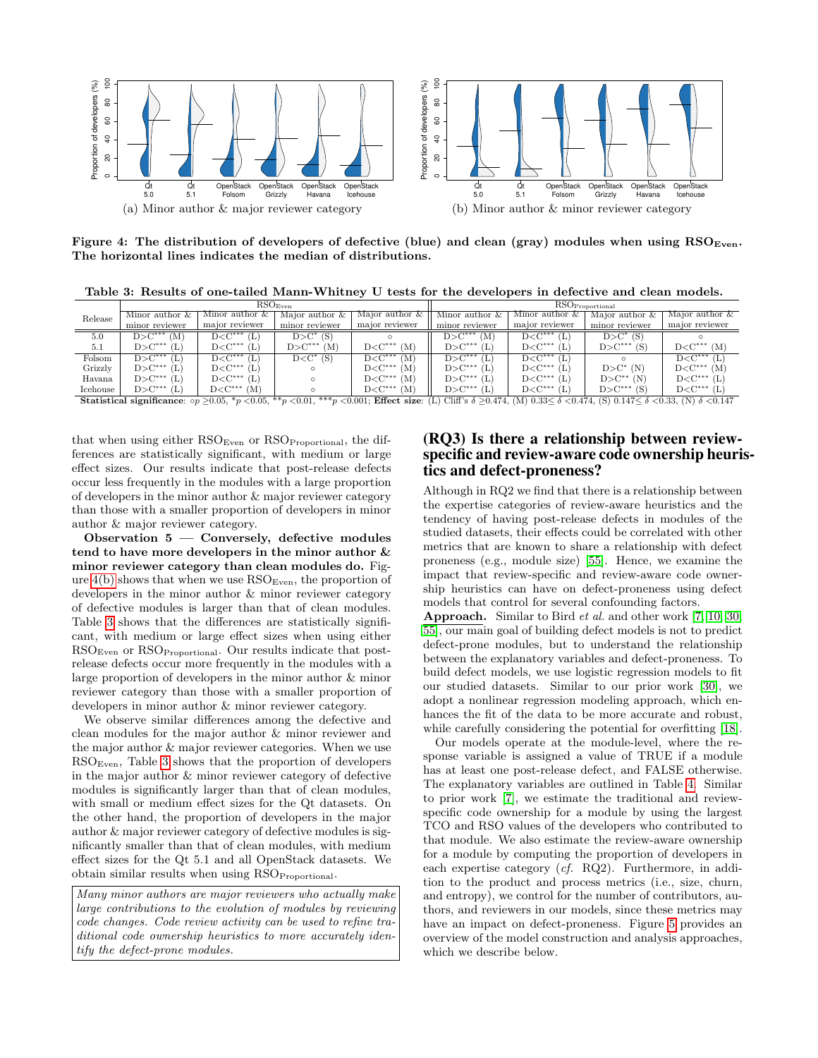<span id="page-5-0"></span>

Figure 4: The distribution of developers of defective (blue) and clean (gray) modules when using  $\text{RSO}_{\text{Even}}$ . The horizontal lines indicates the median of distributions.

<span id="page-5-1"></span>Table 3: Results of one-tailed Mann-Whitney U tests for the developers in defective and clean models.

|          |                   |                   | $\mathrm{RSO}_\mathrm{Even}$ |                                                 | $RSO_{Proportional}$ |                   |                   |                                               |  |  |  |
|----------|-------------------|-------------------|------------------------------|-------------------------------------------------|----------------------|-------------------|-------------------|-----------------------------------------------|--|--|--|
| Release  | Minor author $\&$ | Minor author $\&$ | Major author $\&$            | Major author $\&$                               | Minor author $\&$    | Minor author $\&$ | Major author $\&$ | Major author $\&$                             |  |  |  |
|          | minor reviewer    | major reviewer    | minor reviewer               | major reviewer                                  | minor reviewer       | major reviewer    | minor reviewer    | major reviewer                                |  |  |  |
| 5.0      | $D > C***$<br>(M  | $D < C***$        | $D > C^*$ (S)                |                                                 | $D > C***$<br>(M     | $D < C***$<br>ъ   | $D > C^*$ (S)     |                                               |  |  |  |
| 5.1      | $D > C***$        | $D < C***$        | $D > C***$<br>(M)            | $_{\mathrm{D}\text{<} \mathrm{C}^{***}}$<br>(M) | $D > C***$           | $D < C***$<br>Ь   | $D > C***$<br>(S  | $D{<}C^{***}$<br>(M <sup>2</sup> )            |  |  |  |
| Folsom   | $D > C***$        | $D < C***$<br>(L) | $D < C^*$ (S)                | $_{\mathrm{D}\text{<} \mathrm{C}^{***}}$<br>(M  | $D > C***$           | $D < C***$<br>ш.  |                   | $D C^{***}$                                   |  |  |  |
| Grizzly  | $D > C***$        | $D < C***$        |                              | $_{\mathrm{D}\text{<} \mathrm{C}^{***}}$<br>(M  | $D > C***$           | $D < C***$<br>L   | $D > C^*$ (N)     | $D < C***$<br>(M <sup>2</sup> )               |  |  |  |
| Havana   | $D > C***$<br>(L  | $D < C***$        |                              | $_{\mathrm{D}\text{<} \mathrm{C}^{***}}$<br>(M  | $D > C***$<br>΄ (L.  | $D < C***$<br>L.  | $D > C^*$<br>(N   | $D < C***$<br>Œ                               |  |  |  |
| Icehouse | $D > C***$        | $D<$ C***<br>(M)  |                              | $_{\mathrm{D}\text{<} \mathrm{C}^{***}}$<br>(M) | $D > C***$<br>(L.    | $D < C***$        | $D > C***$<br>(S  | $_{\mathrm{D}\text{<} \mathrm{C}^{***}}$<br>Œ |  |  |  |

Statistical significance:  $\alpha p \ge 0.05$ ,  $*_{p} < 0.05$ ,  $*_{p} < 0.01$ ,  $**_{p} < 0.001$ ; Effect size: (L) Cliff's  $\delta \ge 0.474$ , (M)  $0.33 \le \delta < 0.474$ , (S)  $0.147 \le \delta < 0.33$ , (N)  $\delta < 0.147$ 

that when using either  $\mathrm{RSO}_\mathrm{Even}$  or  $\mathrm{RSO}_\mathrm{Proportional}$ , the differences are statistically significant, with medium or large effect sizes. Our results indicate that post-release defects occur less frequently in the modules with a large proportion of developers in the minor author & major reviewer category than those with a smaller proportion of developers in minor author & major reviewer category.

<span id="page-5-3"></span>Observation 5 — Conversely, defective modules tend to have more developers in the minor author & minor reviewer category than clean modules do. Figure  $4(b)$  shows that when we use  $RSO<sub>Even</sub>$ , the proportion of developers in the minor author & minor reviewer category of defective modules is larger than that of clean modules. Table [3](#page-5-1) shows that the differences are statistically significant, with medium or large effect sizes when using either RSOEven or RSOProportional. Our results indicate that postrelease defects occur more frequently in the modules with a large proportion of developers in the minor author & minor reviewer category than those with a smaller proportion of developers in minor author & minor reviewer category.

We observe similar differences among the defective and clean modules for the major author & minor reviewer and the major author & major reviewer categories. When we use RSOEven, Table [3](#page-5-1) shows that the proportion of developers in the major author & minor reviewer category of defective modules is significantly larger than that of clean modules, with small or medium effect sizes for the Qt datasets. On the other hand, the proportion of developers in the major author & major reviewer category of defective modules is significantly smaller than that of clean modules, with medium effect sizes for the Qt 5.1 and all OpenStack datasets. We obtain similar results when using RSO<sub>Proportional</sub>.

*Many minor authors are major reviewers who actually make large contributions to the evolution of modules by reviewing code changes. Code review activity can be used to refine traditional code ownership heuristics to more accurately identify the defect-prone modules.*

# <span id="page-5-2"></span>(RQ3) Is there a relationship between reviewspecific and review-aware code ownership heuristics and defect-proneness?

Although in RQ2 we find that there is a relationship between the expertise categories of review-aware heuristics and the tendency of having post-release defects in modules of the studied datasets, their effects could be correlated with other metrics that are known to share a relationship with defect proneness (e.g., module size) [\[55\]](#page-11-14). Hence, we examine the impact that review-specific and review-aware code ownership heuristics can have on defect-proneness using defect models that control for several confounding factors.

Approach. Similar to Bird *et al.* and other work [\[7,](#page-10-0) [10,](#page-10-15) [30,](#page-11-11) [55\]](#page-11-14), our main goal of building defect models is not to predict defect-prone modules, but to understand the relationship between the explanatory variables and defect-proneness. To build defect models, we use logistic regression models to fit our studied datasets. Similar to our prior work [\[30\]](#page-11-11), we adopt a nonlinear regression modeling approach, which enhances the fit of the data to be more accurate and robust, while carefully considering the potential for overfitting [\[18\]](#page-10-16).

Our models operate at the module-level, where the response variable is assigned a value of TRUE if a module has at least one post-release defect, and FALSE otherwise. The explanatory variables are outlined in Table [4.](#page-6-0) Similar to prior work [\[7\]](#page-10-0), we estimate the traditional and reviewspecific code ownership for a module by using the largest TCO and RSO values of the developers who contributed to that module. We also estimate the review-aware ownership for a module by computing the proportion of developers in each expertise category (*cf.* RQ2). Furthermore, in addition to the product and process metrics (i.e., size, churn, and entropy), we control for the number of contributors, authors, and reviewers in our models, since these metrics may have an impact on defect-proneness. Figure [5](#page-6-1) provides an overview of the model construction and analysis approaches, which we describe below.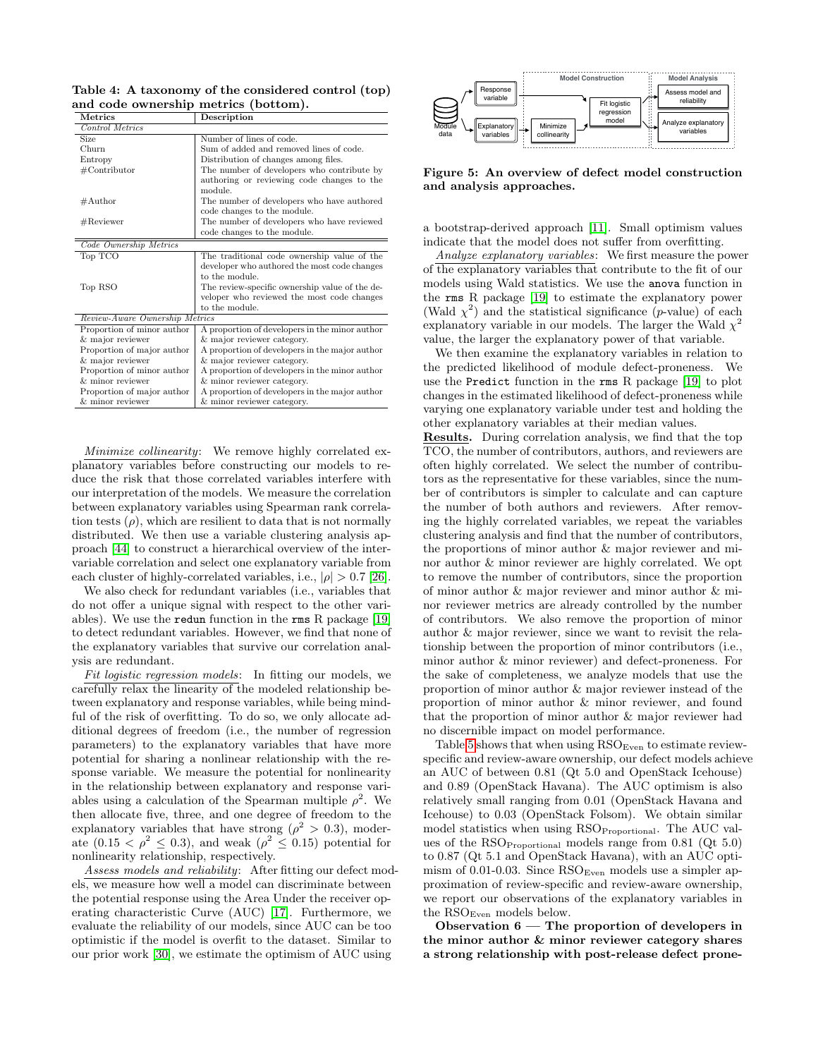<span id="page-6-0"></span>Table 4: A taxonomy of the considered control (top) and code ownership metrics (bottom).

| Metrics                        | Description                                    |  |  |  |  |  |
|--------------------------------|------------------------------------------------|--|--|--|--|--|
| Control Metrics                |                                                |  |  |  |  |  |
| Size                           | Number of lines of code.                       |  |  |  |  |  |
| Churn                          | Sum of added and removed lines of code.        |  |  |  |  |  |
| Entropy                        | Distribution of changes among files.           |  |  |  |  |  |
| $\#\text{Contribution}$        | The number of developers who contribute by     |  |  |  |  |  |
|                                | authoring or reviewing code changes to the     |  |  |  |  |  |
|                                | module.                                        |  |  |  |  |  |
| $\#$ Author                    | The number of developers who have authored     |  |  |  |  |  |
|                                | code changes to the module.                    |  |  |  |  |  |
| $\#\mathrm{Reviewer}$          | The number of developers who have reviewed     |  |  |  |  |  |
|                                | code changes to the module.                    |  |  |  |  |  |
| Code Ownership Metrics         |                                                |  |  |  |  |  |
| Top TCO                        | The traditional code ownership value of the    |  |  |  |  |  |
|                                | developer who authored the most code changes   |  |  |  |  |  |
|                                | to the module.                                 |  |  |  |  |  |
| Top RSO                        | The review-specific ownership value of the de- |  |  |  |  |  |
|                                | veloper who reviewed the most code changes     |  |  |  |  |  |
|                                | to the module.                                 |  |  |  |  |  |
| Review-Aware Ownership Metrics |                                                |  |  |  |  |  |
| Proportion of minor author     | A proportion of developers in the minor author |  |  |  |  |  |
| & major reviewer               | & major reviewer category.                     |  |  |  |  |  |
| Proportion of major author     | A proportion of developers in the major author |  |  |  |  |  |
| & major reviewer               | & major reviewer category.                     |  |  |  |  |  |
| Proportion of minor author     | A proportion of developers in the minor author |  |  |  |  |  |
| $&$ minor reviewer             | & minor reviewer category.                     |  |  |  |  |  |
| Proportion of major author     | A proportion of developers in the major author |  |  |  |  |  |
| & minor reviewer               | & minor reviewer category.                     |  |  |  |  |  |

*Minimize collinearity*: We remove highly correlated explanatory variables before constructing our models to reduce the risk that those correlated variables interfere with our interpretation of the models. We measure the correlation between explanatory variables using Spearman rank correlation tests  $(\rho)$ , which are resilient to data that is not normally distributed. We then use a variable clustering analysis approach [\[44\]](#page-11-15) to construct a hierarchical overview of the intervariable correlation and select one explanatory variable from each cluster of highly-correlated variables, i.e.,  $|\rho| > 0.7$  [\[26\]](#page-10-17).

We also check for redundant variables (i.e., variables that do not offer a unique signal with respect to the other variables). We use the redun function in the rms R package  $[19]$ to detect redundant variables. However, we find that none of the explanatory variables that survive our correlation analysis are redundant.

*Fit logistic regression models*: In fitting our models, we carefully relax the linearity of the modeled relationship between explanatory and response variables, while being mindful of the risk of overfitting. To do so, we only allocate additional degrees of freedom (i.e., the number of regression parameters) to the explanatory variables that have more potential for sharing a nonlinear relationship with the response variable. We measure the potential for nonlinearity in the relationship between explanatory and response variables using a calculation of the Spearman multiple  $\rho^2$ . We then allocate five, three, and one degree of freedom to the explanatory variables that have strong ( $\rho^2 > 0.3$ ), moderate  $(0.15 < \rho^2 \leq 0.3)$ , and weak  $(\rho^2 \leq 0.15)$  potential for nonlinearity relationship, respectively.

*Assess models and reliability*: After fitting our defect models, we measure how well a model can discriminate between the potential response using the Area Under the receiver operating characteristic Curve (AUC) [\[17\]](#page-10-19). Furthermore, we evaluate the reliability of our models, since AUC can be too optimistic if the model is overfit to the dataset. Similar to our prior work [\[30\]](#page-11-11), we estimate the optimism of AUC using



<span id="page-6-1"></span>Figure 5: An overview of defect model construction and analysis approaches.

a bootstrap-derived approach [\[11\]](#page-10-20). Small optimism values indicate that the model does not suffer from overfitting.

*Analyze explanatory variables*: We first measure the power of the explanatory variables that contribute to the fit of our models using Wald statistics. We use the anova function in the rms R package [\[19\]](#page-10-18) to estimate the explanatory power (Wald  $\chi^2$ ) and the statistical significance (p-value) of each explanatory variable in our models. The larger the Wald  $\chi^2$ value, the larger the explanatory power of that variable.

We then examine the explanatory variables in relation to the predicted likelihood of module defect-proneness. We use the Predict function in the rms R package [\[19\]](#page-10-18) to plot changes in the estimated likelihood of defect-proneness while varying one explanatory variable under test and holding the other explanatory variables at their median values.

Results. During correlation analysis, we find that the top TCO, the number of contributors, authors, and reviewers are often highly correlated. We select the number of contributors as the representative for these variables, since the number of contributors is simpler to calculate and can capture the number of both authors and reviewers. After removing the highly correlated variables, we repeat the variables clustering analysis and find that the number of contributors, the proportions of minor author & major reviewer and minor author & minor reviewer are highly correlated. We opt to remove the number of contributors, since the proportion of minor author & major reviewer and minor author & minor reviewer metrics are already controlled by the number of contributors. We also remove the proportion of minor author & major reviewer, since we want to revisit the relationship between the proportion of minor contributors (i.e., minor author & minor reviewer) and defect-proneness. For the sake of completeness, we analyze models that use the proportion of minor author & major reviewer instead of the proportion of minor author & minor reviewer, and found that the proportion of minor author & major reviewer had no discernible impact on model performance.

Table [5](#page-7-1) shows that when using  $\mathrm{RSO}_\mathrm{Even}$  to estimate reviewspecific and review-aware ownership, our defect models achieve an AUC of between 0.81 (Qt 5.0 and OpenStack Icehouse) and 0.89 (OpenStack Havana). The AUC optimism is also relatively small ranging from 0.01 (OpenStack Havana and Icehouse) to 0.03 (OpenStack Folsom). We obtain similar model statistics when using RSO<sub>Proportional</sub>. The AUC values of the RSOProportional models range from 0.81 (Qt 5.0) to 0.87 (Qt 5.1 and OpenStack Havana), with an AUC optimism of 0.01-0.03. Since  $\text{RSO}_{\text{Even}}$  models use a simpler approximation of review-specific and review-aware ownership, we report our observations of the explanatory variables in the RSO<sub>Even</sub> models below.

<span id="page-6-2"></span>Observation 6 — The proportion of developers in the minor author & minor reviewer category shares a strong relationship with post-release defect prone-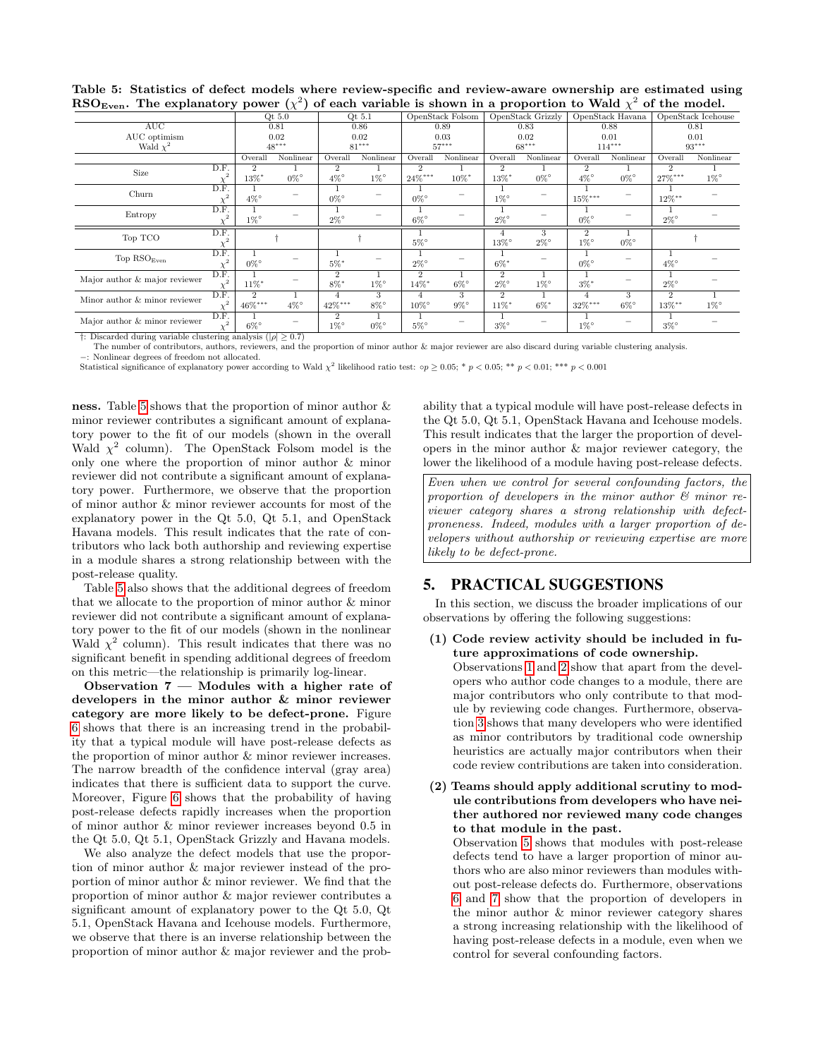| $\sim$ $\sim$ $\sim$ $\sim$ $\sim$ $\sim$ $\sim$<br>The explanatory power $\chi$ / or each variable is shown in a proportion to wate $\chi$ or the model. |      |                |           |                |                            |                     |           |                   |           |                                      |           |                    |           |
|-----------------------------------------------------------------------------------------------------------------------------------------------------------|------|----------------|-----------|----------------|----------------------------|---------------------|-----------|-------------------|-----------|--------------------------------------|-----------|--------------------|-----------|
|                                                                                                                                                           |      | Qt $5.0$       |           |                | OpenStack Folsom<br>Qt 5.1 |                     |           | OpenStack Grizzly |           | OpenStack Havana                     |           | OpenStack Icehouse |           |
| AUC                                                                                                                                                       |      | 0.81           |           | 0.86           |                            | 0.89                |           | 0.83              |           | 0.88                                 |           | 0.81               |           |
| AUC optimism                                                                                                                                              |      |                | 0.02      | 0.02           |                            | 0.03                |           | 0.02              |           | 0.01                                 |           | 0.01               |           |
| Wald $\chi^2$                                                                                                                                             |      |                | $48***$   | $81***$        |                            | $57***$             |           | $68***$           |           | $114***$                             |           | $93***$            |           |
|                                                                                                                                                           |      | Overall        | Nonlinear | Overall        | Nonlinear                  | Overall             | Nonlinear | Overall           | Nonlinear | Overall                              | Nonlinear | Overall            | Nonlinear |
| Size                                                                                                                                                      | D.F. | $\overline{2}$ |           | $\overline{2}$ |                            | $\overline{2}$      |           | $\overline{2}$    |           | $\overline{2}$                       |           | 2                  |           |
|                                                                                                                                                           |      | 13%*           | $0\%$ °   | $4\%$ °        | $1\%$ °                    | 24%***              | 10%*      | 13%*              | $0\%$ °   | $4\%$ °                              | $0\%$ °   | $27\%***$          | $1\%$ °   |
| Churn                                                                                                                                                     | D.F. |                |           |                |                            |                     |           |                   |           |                                      |           |                    |           |
|                                                                                                                                                           |      | $4\%$ °        |           | $0\%$ °        |                            | $0\%$ °             |           | $1\%$ °           |           | $15\%***$                            |           | $12\%$ **          |           |
| Entropy                                                                                                                                                   | D.F. | 1              |           |                |                            |                     |           |                   |           |                                      |           |                    |           |
|                                                                                                                                                           |      | $1\%$ °        |           | $2\%$ °        |                            | $6\%$ °             |           | $2\%$ °           |           | $0\%$ °                              |           | $2\%$ °            |           |
| Top TCO                                                                                                                                                   | D.F. |                |           |                |                            | $5\%$ °             |           |                   | 3         | $\overline{2}$<br>$1\%$ °<br>$0\%$ ° |           |                    |           |
|                                                                                                                                                           |      |                |           |                |                            |                     |           | $13\%$ °          | $2\%$ °   |                                      |           |                    |           |
| Top $\mathrm{RSO}_\mathrm{Even}$                                                                                                                          | D.F. |                |           |                |                            |                     |           |                   |           |                                      |           |                    |           |
|                                                                                                                                                           |      | $0\%$ °        |           | $5\%$ *        |                            | $2\%$ °             |           | $6\%$ *           |           | $0\%$ °                              |           | $4\%$ °            |           |
| Major author & major reviewer                                                                                                                             | D.F. |                |           | $\overline{2}$ |                            | $\overline{2}$      |           | $\overline{2}$    |           |                                      |           |                    |           |
|                                                                                                                                                           |      | $11\%$ *       |           | $8\%$ *        | $1\%$ °                    | $14\%$ <sup>*</sup> | $6\%$ °   | $2\%$ °           | $1\%$ °   | $3\%$ *                              |           | $2\%$ °            |           |
| Minor author & minor reviewer                                                                                                                             | D.F. | $\overline{2}$ |           | $\overline{4}$ | 3                          | 4                   | 3         | $\overline{2}$    |           | $\overline{4}$                       | 3         | $\overline{2}$     |           |
|                                                                                                                                                           |      | $46\%***$      | $4\%$ °   | 42%***         | $8\%$ °                    | $10\%$ °            | $9\%$ °   | $11\%$ *          | $6\%$ *   | $32\%***$                            | $6\%$ °   | $13\%$ **          | $1\%$ °   |
| Major author & minor reviewer                                                                                                                             | D.F. |                |           |                |                            |                     |           |                   |           |                                      |           |                    |           |
|                                                                                                                                                           |      | $6\%$ °        |           | $1\%$ °        | $0\%$ °                    | $5\%$ °             |           | $3\%$ °           |           | $1\%$ °                              |           | $3\%$ °            |           |

<span id="page-7-1"></span>Table 5: Statistics of defect models where review-specific and review-aware ownership are estimated using RSO<sub>R</sub>... The explanatory power  $(x^2)$  of each variable is shown in a proportion to Wald  $x^2$  of the model  $\text{RSO}_{\text{Even}}$ . The explanatory power  $(\chi^2)$  of each variable is shown in a proportion to Wald  $\chi^2$  of the model.

†: Discarded during variable clustering analysis ( $|\rho| \geq 0.7$ )

0%◦ The number of contributors, authors, reviewers, and the proportion of minor author & major reviewer are also discard during variable clustering analysis.

−: Nonlinear degrees of freedom not allocated.

Statistical significance of explanatory power according to Wald  $\chi^2$  likelihood ratio test:  $\circ p \ge 0.05$ ; \*  $p < 0.05$ ; \*\*  $p < 0.01$ ; \*\*\*  $p < 0.001$ 

ness. Table [5](#page-7-1) shows that the proportion of minor author & minor reviewer contributes a significant amount of explanatory power to the fit of our models (shown in the overall Wald  $\chi^2$  column). The OpenStack Folsom model is the only one where the proportion of minor author & minor reviewer did not contribute a significant amount of explanatory power. Furthermore, we observe that the proportion of minor author & minor reviewer accounts for most of the explanatory power in the Qt 5.0, Qt 5.1, and OpenStack Havana models. This result indicates that the rate of contributors who lack both authorship and reviewing expertise in a module shares a strong relationship between with the post-release quality.

 $\chi^2$ 6%◦

Table [5](#page-7-1) also shows that the additional degrees of freedom that we allocate to the proportion of minor author & minor reviewer did not contribute a significant amount of explanatory power to the fit of our models (shown in the nonlinear Wald  $\chi^2$  column). This result indicates that there was no significant benefit in spending additional degrees of freedom on this metric—the relationship is primarily log-linear.

<span id="page-7-2"></span>Observation 7 — Modules with a higher rate of developers in the minor author & minor reviewer category are more likely to be defect-prone. Figure [6](#page-8-2) shows that there is an increasing trend in the probability that a typical module will have post-release defects as the proportion of minor author & minor reviewer increases. The narrow breadth of the confidence interval (gray area) indicates that there is sufficient data to support the curve. Moreover, Figure [6](#page-8-2) shows that the probability of having post-release defects rapidly increases when the proportion of minor author & minor reviewer increases beyond 0.5 in the Qt 5.0, Qt 5.1, OpenStack Grizzly and Havana models.

We also analyze the defect models that use the proportion of minor author & major reviewer instead of the proportion of minor author & minor reviewer. We find that the proportion of minor author & major reviewer contributes a significant amount of explanatory power to the Qt 5.0, Qt 5.1, OpenStack Havana and Icehouse models. Furthermore, we observe that there is an inverse relationship between the proportion of minor author & major reviewer and the probability that a typical module will have post-release defects in the Qt 5.0, Qt 5.1, OpenStack Havana and Icehouse models. This result indicates that the larger the proportion of developers in the minor author & major reviewer category, the lower the likelihood of a module having post-release defects.

*Even when we control for several confounding factors, the proportion of developers in the minor author & minor reviewer category shares a strong relationship with defectproneness. Indeed, modules with a larger proportion of developers without authorship or reviewing expertise are more likely to be defect-prone.*

## <span id="page-7-0"></span>5. PRACTICAL SUGGESTIONS

In this section, we discuss the broader implications of our observations by offering the following suggestions:

- (1) Code review activity should be included in future approximations of code ownership. Observations [1](#page-4-3) and [2](#page-4-4) show that apart from the developers who author code changes to a module, there are major contributors who only contribute to that module by reviewing code changes. Furthermore, observation [3](#page-4-5) shows that many developers who were identified as minor contributors by traditional code ownership heuristics are actually major contributors when their code review contributions are taken into consideration.
- (2) Teams should apply additional scrutiny to module contributions from developers who have neither authored nor reviewed many code changes to that module in the past.

Observation [5](#page-5-3) shows that modules with post-release defects tend to have a larger proportion of minor authors who are also minor reviewers than modules without post-release defects do. Furthermore, observations [6](#page-6-2) and [7](#page-7-2) show that the proportion of developers in the minor author & minor reviewer category shares a strong increasing relationship with the likelihood of having post-release defects in a module, even when we control for several confounding factors.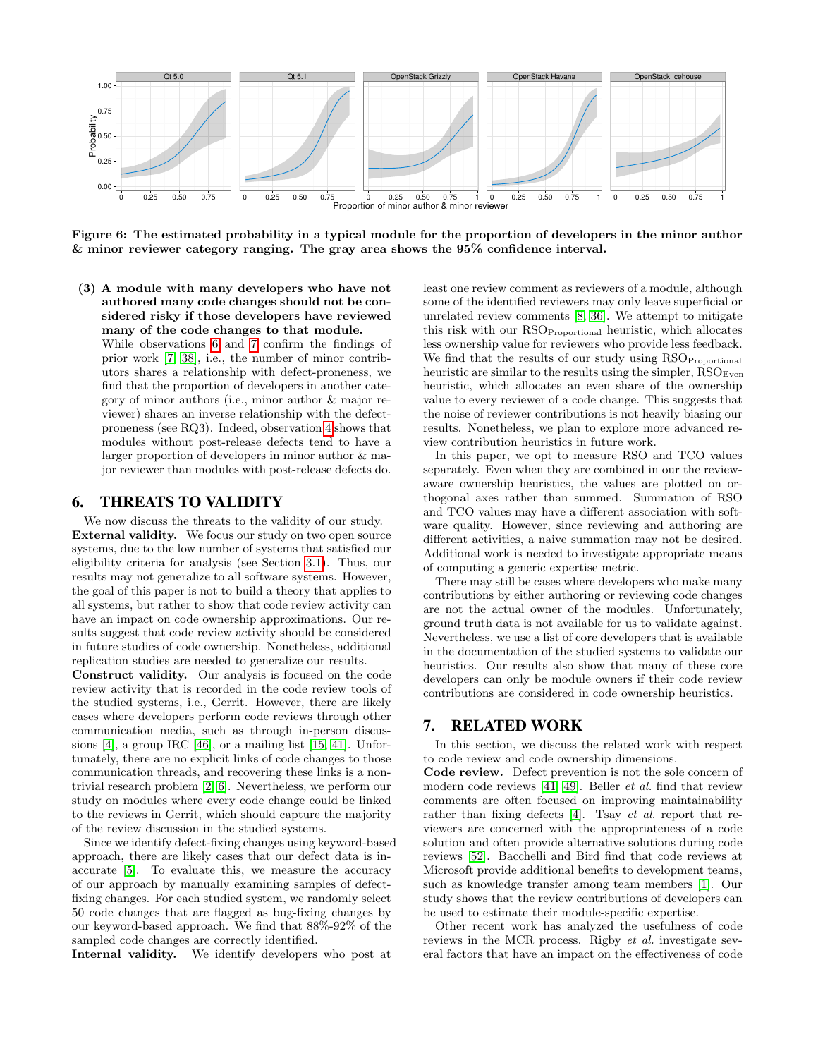

<span id="page-8-2"></span>Figure 6: The estimated probability in a typical module for the proportion of developers in the minor author & minor reviewer category ranging. The gray area shows the 95% confidence interval.

(3) A module with many developers who have not authored many code changes should not be considered risky if those developers have reviewed many of the code changes to that module.

While observations [6](#page-6-2) and [7](#page-7-2) confirm the findings of prior work [\[7,](#page-10-0) [38\]](#page-11-1), i.e., the number of minor contributors shares a relationship with defect-proneness, we find that the proportion of developers in another category of minor authors (i.e., minor author & major reviewer) shares an inverse relationship with the defectproneness (see RQ3). Indeed, observation [4](#page-4-6) shows that modules without post-release defects tend to have a larger proportion of developers in minor author & major reviewer than modules with post-release defects do.

## <span id="page-8-0"></span>6. THREATS TO VALIDITY

We now discuss the threats to the validity of our study. External validity. We focus our study on two open source systems, due to the low number of systems that satisfied our eligibility criteria for analysis (see Section [3.1\)](#page-2-3). Thus, our results may not generalize to all software systems. However, the goal of this paper is not to build a theory that applies to all systems, but rather to show that code review activity can have an impact on code ownership approximations. Our results suggest that code review activity should be considered in future studies of code ownership. Nonetheless, additional replication studies are needed to generalize our results.

Construct validity. Our analysis is focused on the code review activity that is recorded in the code review tools of the studied systems, i.e., Gerrit. However, there are likely cases where developers perform code reviews through other communication media, such as through in-person discussions [\[4\]](#page-10-3), a group IRC [\[46\]](#page-11-16), or a mailing list [\[15,](#page-10-21) [41\]](#page-11-17). Unfortunately, there are no explicit links of code changes to those communication threads, and recovering these links is a nontrivial research problem [\[2,](#page-10-22) [6\]](#page-10-23). Nevertheless, we perform our study on modules where every code change could be linked to the reviews in Gerrit, which should capture the majority of the review discussion in the studied systems.

Since we identify defect-fixing changes using keyword-based approach, there are likely cases that our defect data is inaccurate [\[5\]](#page-10-8). To evaluate this, we measure the accuracy of our approach by manually examining samples of defectfixing changes. For each studied system, we randomly select 50 code changes that are flagged as bug-fixing changes by our keyword-based approach. We find that 88%-92% of the sampled code changes are correctly identified.

Internal validity. We identify developers who post at

least one review comment as reviewers of a module, although some of the identified reviewers may only leave superficial or unrelated review comments [\[8,](#page-10-24) [36\]](#page-11-18). We attempt to mitigate this risk with our RSO<sub>Proportional</sub> heuristic, which allocates less ownership value for reviewers who provide less feedback. We find that the results of our study using RSOProportional heuristic are similar to the results using the simpler,  $RSO<sub>Even</sub>$ heuristic, which allocates an even share of the ownership value to every reviewer of a code change. This suggests that the noise of reviewer contributions is not heavily biasing our results. Nonetheless, we plan to explore more advanced review contribution heuristics in future work.

In this paper, we opt to measure RSO and TCO values separately. Even when they are combined in our the reviewaware ownership heuristics, the values are plotted on orthogonal axes rather than summed. Summation of RSO and TCO values may have a different association with software quality. However, since reviewing and authoring are different activities, a naive summation may not be desired. Additional work is needed to investigate appropriate means of computing a generic expertise metric.

There may still be cases where developers who make many contributions by either authoring or reviewing code changes are not the actual owner of the modules. Unfortunately, ground truth data is not available for us to validate against. Nevertheless, we use a list of core developers that is available in the documentation of the studied systems to validate our heuristics. Our results also show that many of these core developers can only be module owners if their code review contributions are considered in code ownership heuristics.

## <span id="page-8-1"></span>7. RELATED WORK

In this section, we discuss the related work with respect to code review and code ownership dimensions.

Code review. Defect prevention is not the sole concern of modern code reviews [\[41,](#page-11-17) [49\]](#page-11-6). Beller *et al.* find that review comments are often focused on improving maintainability rather than fixing defects [\[4\]](#page-10-3). Tsay *et al.* report that reviewers are concerned with the appropriateness of a code solution and often provide alternative solutions during code reviews [\[52\]](#page-11-7). Bacchelli and Bird find that code reviews at Microsoft provide additional benefits to development teams, such as knowledge transfer among team members [\[1\]](#page-10-2). Our study shows that the review contributions of developers can be used to estimate their module-specific expertise.

Other recent work has analyzed the usefulness of code reviews in the MCR process. Rigby *et al.* investigate several factors that have an impact on the effectiveness of code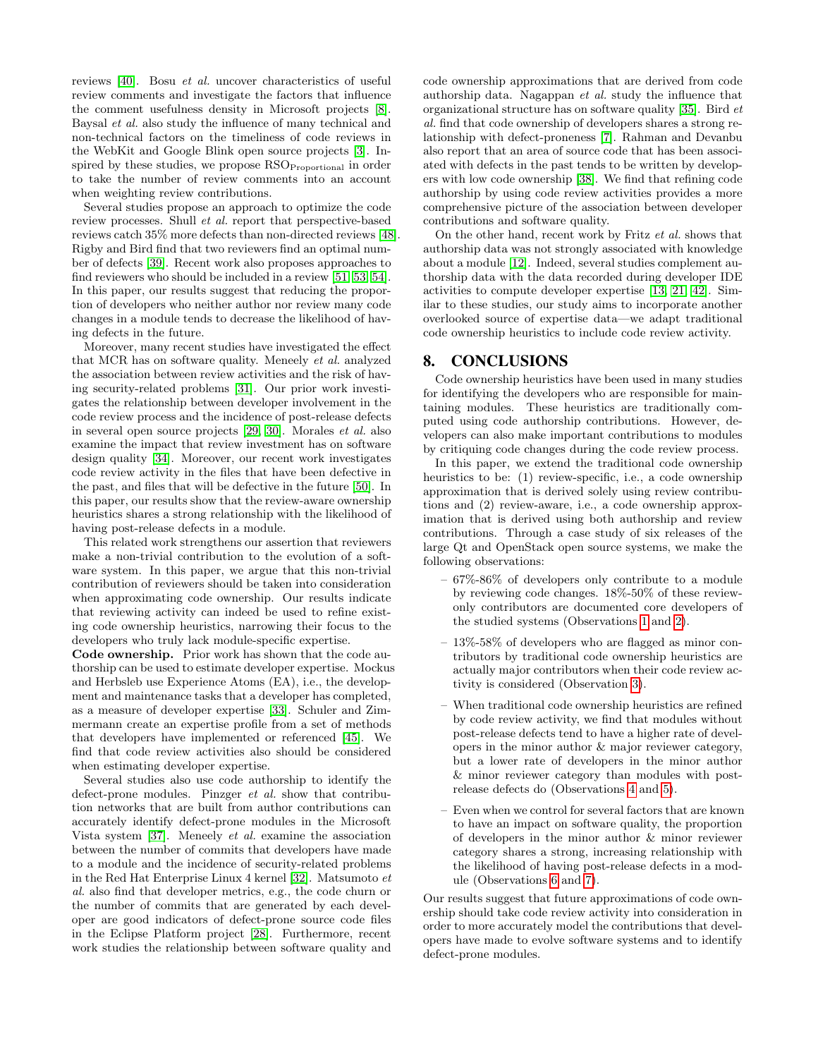reviews [\[40\]](#page-11-19). Bosu *et al.* uncover characteristics of useful review comments and investigate the factors that influence the comment usefulness density in Microsoft projects [\[8\]](#page-10-24). Baysal *et al.* also study the influence of many technical and non-technical factors on the timeliness of code reviews in the WebKit and Google Blink open source projects [\[3\]](#page-10-25). Inspired by these studies, we propose  $\mathrm{RSO}_{\mathrm{Proportional}}$  in order to take the number of review comments into an account when weighting review contributions.

Several studies propose an approach to optimize the code review processes. Shull *et al.* report that perspective-based reviews catch 35% more defects than non-directed reviews [\[48\]](#page-11-20). Rigby and Bird find that two reviewers find an optimal number of defects [\[39\]](#page-11-2). Recent work also proposes approaches to find reviewers who should be included in a review [\[51,](#page-11-21) [53,](#page-11-22) [54\]](#page-11-23). In this paper, our results suggest that reducing the proportion of developers who neither author nor review many code changes in a module tends to decrease the likelihood of having defects in the future.

Moreover, many recent studies have investigated the effect that MCR has on software quality. Meneely *et al.* analyzed the association between review activities and the risk of having security-related problems [\[31\]](#page-11-24). Our prior work investigates the relationship between developer involvement in the code review process and the incidence of post-release defects in several open source projects [\[29,](#page-11-3) [30\]](#page-11-11). Morales *et al.* also examine the impact that review investment has on software design quality [\[34\]](#page-11-5). Moreover, our recent work investigates code review activity in the files that have been defective in the past, and files that will be defective in the future [\[50\]](#page-11-4). In this paper, our results show that the review-aware ownership heuristics shares a strong relationship with the likelihood of having post-release defects in a module.

This related work strengthens our assertion that reviewers make a non-trivial contribution to the evolution of a software system. In this paper, we argue that this non-trivial contribution of reviewers should be taken into consideration when approximating code ownership. Our results indicate that reviewing activity can indeed be used to refine existing code ownership heuristics, narrowing their focus to the developers who truly lack module-specific expertise.

Code ownership. Prior work has shown that the code authorship can be used to estimate developer expertise. Mockus and Herbsleb use Experience Atoms (EA), i.e., the development and maintenance tasks that a developer has completed, as a measure of developer expertise [\[33\]](#page-11-0). Schuler and Zimmermann create an expertise profile from a set of methods that developers have implemented or referenced [\[45\]](#page-11-25). We find that code review activities also should be considered when estimating developer expertise.

Several studies also use code authorship to identify the defect-prone modules. Pinzger *et al.* show that contribution networks that are built from author contributions can accurately identify defect-prone modules in the Microsoft Vista system [\[37\]](#page-11-9). Meneely *et al.* examine the association between the number of commits that developers have made to a module and the incidence of security-related problems in the Red Hat Enterprise Linux 4 kernel [\[32\]](#page-11-8). Matsumoto *et al.* also find that developer metrics, e.g., the code churn or the number of commits that are generated by each developer are good indicators of defect-prone source code files in the Eclipse Platform project [\[28\]](#page-10-26). Furthermore, recent work studies the relationship between software quality and

code ownership approximations that are derived from code authorship data. Nagappan *et al.* study the influence that organizational structure has on software quality [\[35\]](#page-11-10). Bird *et al.* find that code ownership of developers shares a strong relationship with defect-proneness [\[7\]](#page-10-0). Rahman and Devanbu also report that an area of source code that has been associated with defects in the past tends to be written by developers with low code ownership [\[38\]](#page-11-1). We find that refining code authorship by using code review activities provides a more comprehensive picture of the association between developer contributions and software quality.

On the other hand, recent work by Fritz *et al.* shows that authorship data was not strongly associated with knowledge about a module [\[12\]](#page-10-4). Indeed, several studies complement authorship data with the data recorded during developer IDE activities to compute developer expertise [\[13,](#page-10-5) [21,](#page-10-27) [42\]](#page-11-26). Similar to these studies, our study aims to incorporate another overlooked source of expertise data—we adapt traditional code ownership heuristics to include code review activity.

## <span id="page-9-0"></span>8. CONCLUSIONS

Code ownership heuristics have been used in many studies for identifying the developers who are responsible for maintaining modules. These heuristics are traditionally computed using code authorship contributions. However, developers can also make important contributions to modules by critiquing code changes during the code review process.

In this paper, we extend the traditional code ownership heuristics to be: (1) review-specific, i.e., a code ownership approximation that is derived solely using review contributions and (2) review-aware, i.e., a code ownership approximation that is derived using both authorship and review contributions. Through a case study of six releases of the large Qt and OpenStack open source systems, we make the following observations:

- 67%-86% of developers only contribute to a module by reviewing code changes. 18%-50% of these reviewonly contributors are documented core developers of the studied systems (Observations [1](#page-4-3) and [2\)](#page-4-4).
- 13%-58% of developers who are flagged as minor contributors by traditional code ownership heuristics are actually major contributors when their code review activity is considered (Observation [3\)](#page-4-5).
- When traditional code ownership heuristics are refined by code review activity, we find that modules without post-release defects tend to have a higher rate of developers in the minor author & major reviewer category, but a lower rate of developers in the minor author & minor reviewer category than modules with postrelease defects do (Observations [4](#page-4-6) and [5\)](#page-5-3).
- Even when we control for several factors that are known to have an impact on software quality, the proportion of developers in the minor author & minor reviewer category shares a strong, increasing relationship with the likelihood of having post-release defects in a module (Observations [6](#page-6-2) and [7\)](#page-7-2).

Our results suggest that future approximations of code ownership should take code review activity into consideration in order to more accurately model the contributions that developers have made to evolve software systems and to identify defect-prone modules.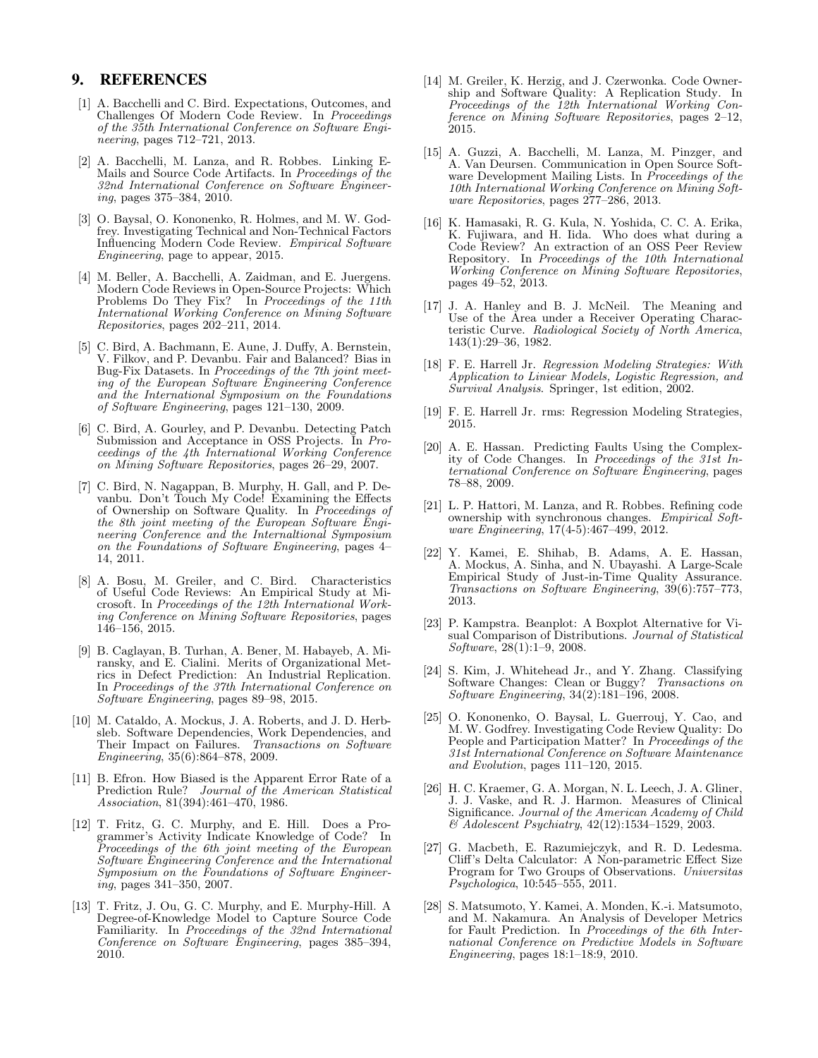# 9. REFERENCES

- <span id="page-10-2"></span>[1] A. Bacchelli and C. Bird. Expectations, Outcomes, and Challenges Of Modern Code Review. In *Proceedings of the 35th International Conference on Software Engineering*, pages 712–721, 2013.
- <span id="page-10-22"></span>[2] A. Bacchelli, M. Lanza, and R. Robbes. Linking E-Mails and Source Code Artifacts. In *Proceedings of the 32nd International Conference on Software Engineering*, pages 375–384, 2010.
- <span id="page-10-25"></span>[3] O. Baysal, O. Kononenko, R. Holmes, and M. W. Godfrey. Investigating Technical and Non-Technical Factors Influencing Modern Code Review. *Empirical Software Engineering*, page to appear, 2015.
- <span id="page-10-3"></span>[4] M. Beller, A. Bacchelli, A. Zaidman, and E. Juergens. Modern Code Reviews in Open-Source Projects: Which Problems Do They Fix? In *Proceedings of the 11th International Working Conference on Mining Software Repositories*, pages 202–211, 2014.
- <span id="page-10-8"></span>[5] C. Bird, A. Bachmann, E. Aune, J. Duffy, A. Bernstein, V. Filkov, and P. Devanbu. Fair and Balanced? Bias in Bug-Fix Datasets. In *Proceedings of the 7th joint meeting of the European Software Engineering Conference and the International Symposium on the Foundations of Software Engineering*, pages 121–130, 2009.
- <span id="page-10-23"></span>[6] C. Bird, A. Gourley, and P. Devanbu. Detecting Patch Submission and Acceptance in OSS Projects. In *Proceedings of the 4th International Working Conference on Mining Software Repositories*, pages 26–29, 2007.
- <span id="page-10-0"></span>[7] C. Bird, N. Nagappan, B. Murphy, H. Gall, and P. Devanbu. Don't Touch My Code! Examining the Effects of Ownership on Software Quality. In *Proceedings of the 8th joint meeting of the European Software Engineering Conference and the Internaltional Symposium on the Foundations of Software Engineering*, pages 4– 14, 2011.
- <span id="page-10-24"></span>[8] A. Bosu, M. Greiler, and C. Bird. Characteristics of Useful Code Reviews: An Empirical Study at Microsoft. In *Proceedings of the 12th International Working Conference on Mining Software Repositories*, pages 146–156, 2015.
- <span id="page-10-6"></span>[9] B. Caglayan, B. Turhan, A. Bener, M. Habayeb, A. Miransky, and E. Cialini. Merits of Organizational Metrics in Defect Prediction: An Industrial Replication. In *Proceedings of the 37th International Conference on Software Engineering*, pages 89–98, 2015.
- <span id="page-10-15"></span>[10] M. Cataldo, A. Mockus, J. A. Roberts, and J. D. Herbsleb. Software Dependencies, Work Dependencies, and Their Impact on Failures. *Transactions on Software Engineering*, 35(6):864–878, 2009.
- <span id="page-10-20"></span>[11] B. Efron. How Biased is the Apparent Error Rate of a Prediction Rule? *Journal of the American Statistical Association*, 81(394):461–470, 1986.
- <span id="page-10-4"></span>[12] T. Fritz, G. C. Murphy, and E. Hill. Does a Programmer's Activity Indicate Knowledge of Code? In *Proceedings of the 6th joint meeting of the European Software Engineering Conference and the International Symposium on the Foundations of Software Engineering*, pages 341–350, 2007.
- <span id="page-10-5"></span>[13] T. Fritz, J. Ou, G. C. Murphy, and E. Murphy-Hill. A Degree-of-Knowledge Model to Capture Source Code Familiarity. In *Proceedings of the 32nd International Conference on Software Engineering*, pages 385–394, 2010.
- <span id="page-10-7"></span>[14] M. Greiler, K. Herzig, and J. Czerwonka. Code Ownership and Software Quality: A Replication Study. In *Proceedings of the 12th International Working Conference on Mining Software Repositories*, pages 2–12, 2015.
- <span id="page-10-21"></span>[15] A. Guzzi, A. Bacchelli, M. Lanza, M. Pinzger, and A. Van Deursen. Communication in Open Source Software Development Mailing Lists. In *Proceedings of the 10th International Working Conference on Mining Software Repositories*, pages 277–286, 2013.
- <span id="page-10-9"></span>[16] K. Hamasaki, R. G. Kula, N. Yoshida, C. C. A. Erika, K. Fujiwara, and H. Iida. Who does what during a Code Review? An extraction of an OSS Peer Review Repository. In *Proceedings of the 10th International Working Conference on Mining Software Repositories*, pages 49–52, 2013.
- <span id="page-10-19"></span>[17] J. A. Hanley and B. J. McNeil. The Meaning and Use of the Area under a Receiver Operating Characteristic Curve. *Radiological Society of North America*, 143(1):29–36, 1982.
- <span id="page-10-16"></span>[18] F. E. Harrell Jr. *Regression Modeling Strategies: With Application to Liniear Models, Logistic Regression, and Survival Analysis*. Springer, 1st edition, 2002.
- <span id="page-10-18"></span>[19] F. E. Harrell Jr. rms: Regression Modeling Strategies, 2015.
- <span id="page-10-11"></span>[20] A. E. Hassan. Predicting Faults Using the Complexity of Code Changes. In *Proceedings of the 31st International Conference on Software Engineering*, pages 78–88, 2009.
- <span id="page-10-27"></span>[21] L. P. Hattori, M. Lanza, and R. Robbes. Refining code ownership with synchronous changes. *Empirical Software Engineering*, 17(4-5):467–499, 2012.
- <span id="page-10-10"></span>[22] Y. Kamei, E. Shihab, B. Adams, A. E. Hassan, A. Mockus, A. Sinha, and N. Ubayashi. A Large-Scale Empirical Study of Just-in-Time Quality Assurance. *Transactions on Software Engineering*, 39(6):757–773, 2013.
- <span id="page-10-13"></span>[23] P. Kampstra. Beanplot: A Boxplot Alternative for Visual Comparison of Distributions. *Journal of Statistical Software*, 28(1):1–9, 2008.
- <span id="page-10-12"></span>[24] S. Kim, J. Whitehead Jr., and Y. Zhang. Classifying Software Changes: Clean or Buggy? *Transactions on Software Engineering*, 34(2):181–196, 2008.
- <span id="page-10-1"></span>[25] O. Kononenko, O. Baysal, L. Guerrouj, Y. Cao, and M. W. Godfrey. Investigating Code Review Quality: Do People and Participation Matter? In *Proceedings of the 31st International Conference on Software Maintenance and Evolution*, pages 111–120, 2015.
- <span id="page-10-17"></span>[26] H. C. Kraemer, G. A. Morgan, N. L. Leech, J. A. Gliner, J. J. Vaske, and R. J. Harmon. Measures of Clinical Significance. *Journal of the American Academy of Child & Adolescent Psychiatry*, 42(12):1534–1529, 2003.
- <span id="page-10-14"></span>[27] G. Macbeth, E. Razumiejczyk, and R. D. Ledesma. Cliff's Delta Calculator: A Non-parametric Effect Size Program for Two Groups of Observations. *Universitas Psychologica*, 10:545–555, 2011.
- <span id="page-10-26"></span>[28] S. Matsumoto, Y. Kamei, A. Monden, K.-i. Matsumoto, and M. Nakamura. An Analysis of Developer Metrics for Fault Prediction. In *Proceedings of the 6th International Conference on Predictive Models in Software Engineering*, pages 18:1–18:9, 2010.